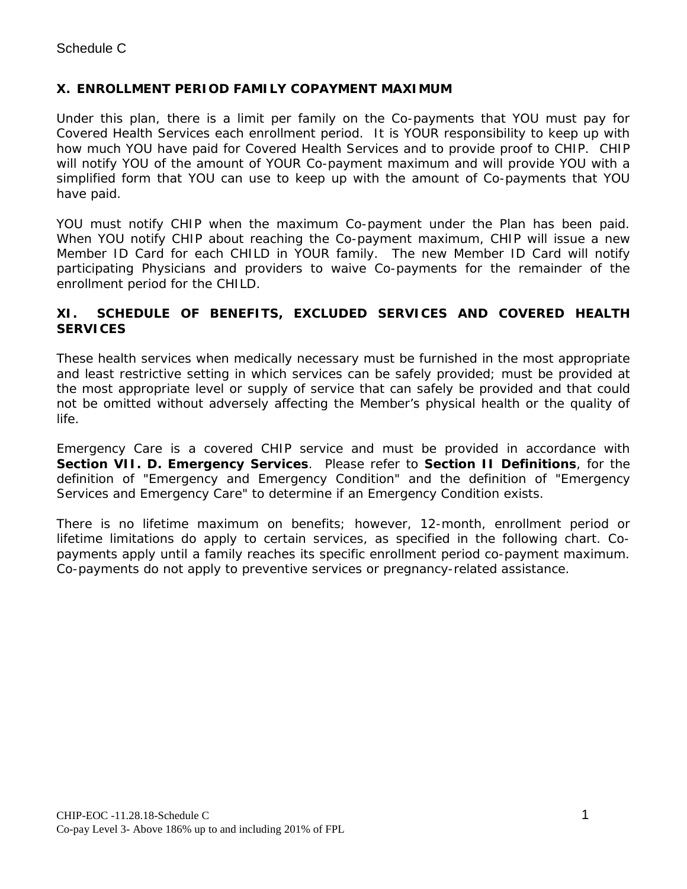## **X. ENROLLMENT PERIOD FAMILY COPAYMENT MAXIMUM**

Under this plan, there is a limit per family on the Co-payments that YOU must pay for Covered Health Services each enrollment period. It is YOUR responsibility to keep up with how much YOU have paid for Covered Health Services and to provide proof to CHIP. CHIP will notify YOU of the amount of YOUR Co-payment maximum and will provide YOU with a simplified form that YOU can use to keep up with the amount of Co-payments that YOU have paid.

YOU must notify CHIP when the maximum Co-payment under the Plan has been paid. When YOU notify CHIP about reaching the Co-payment maximum, CHIP will issue a new Member ID Card for each CHILD in YOUR family. The new Member ID Card will notify participating Physicians and providers to waive Co-payments for the remainder of the enrollment period for the CHILD.

## **XI. SCHEDULE OF BENEFITS, EXCLUDED SERVICES AND COVERED HEALTH SERVICES**

These health services when medically necessary must be furnished in the most appropriate and least restrictive setting in which services can be safely provided; must be provided at the most appropriate level or supply of service that can safely be provided and that could not be omitted without adversely affecting the Member's physical health or the quality of life.

Emergency Care is a covered CHIP service and must be provided in accordance with **Section VII. D. Emergency Services**. Please refer to **Section II Definitions**, for the definition of "Emergency and Emergency Condition" and the definition of "Emergency Services and Emergency Care" to determine if an Emergency Condition exists.

There is no lifetime maximum on benefits; however, 12-month, enrollment period or lifetime limitations do apply to certain services, as specified in the following chart. Copayments apply until a family reaches its specific enrollment period co-payment maximum. Co-payments do not apply to preventive services or pregnancy-related assistance.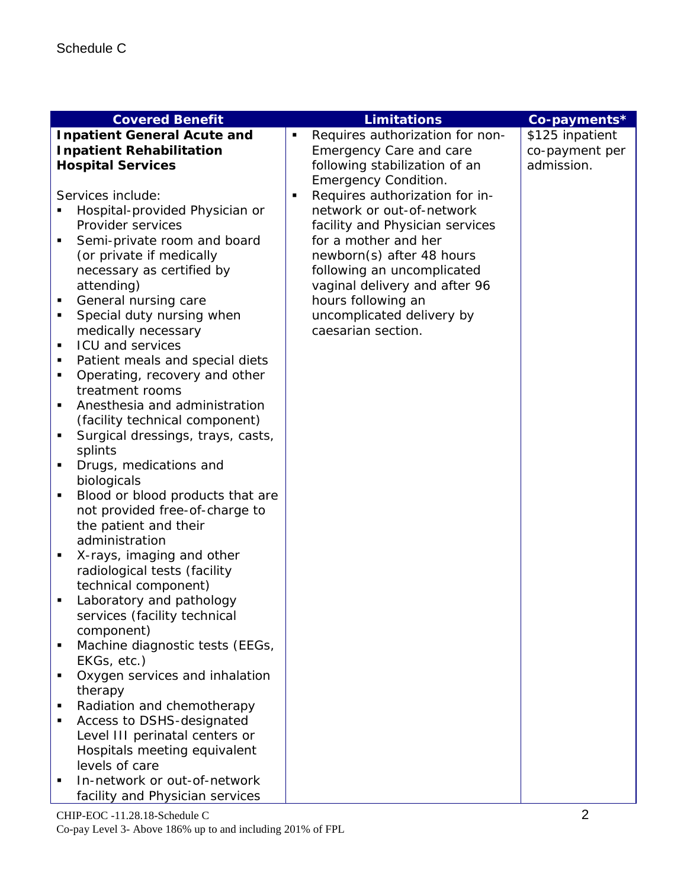| <b>Covered Benefit</b>                           |   | <b>Limitations</b>                              | Co-payments*    |
|--------------------------------------------------|---|-------------------------------------------------|-----------------|
| <b>Inpatient General Acute and</b>               |   | Requires authorization for non-                 | \$125 inpatient |
| <b>Inpatient Rehabilitation</b>                  |   | <b>Emergency Care and care</b>                  | co-payment per  |
| <b>Hospital Services</b>                         |   | following stabilization of an                   | admission.      |
|                                                  |   | <b>Emergency Condition.</b>                     |                 |
| Services include:                                | п | Requires authorization for in-                  |                 |
| Hospital-provided Physician or                   |   | network or out-of-network                       |                 |
| Provider services                                |   | facility and Physician services                 |                 |
| Semi-private room and board<br>٠                 |   | for a mother and her                            |                 |
| (or private if medically                         |   | newborn(s) after 48 hours                       |                 |
| necessary as certified by                        |   | following an uncomplicated                      |                 |
| attending)                                       |   | vaginal delivery and after 96                   |                 |
| General nursing care<br>٠                        |   | hours following an                              |                 |
| ٠                                                |   |                                                 |                 |
| Special duty nursing when<br>medically necessary |   | uncomplicated delivery by<br>caesarian section. |                 |
| <b>ICU and services</b><br>$\blacksquare$        |   |                                                 |                 |
| п                                                |   |                                                 |                 |
| Patient meals and special diets<br>٠             |   |                                                 |                 |
| Operating, recovery and other<br>treatment rooms |   |                                                 |                 |
| Anesthesia and administration<br>п               |   |                                                 |                 |
|                                                  |   |                                                 |                 |
| (facility technical component)                   |   |                                                 |                 |
| Surgical dressings, trays, casts,<br>٠           |   |                                                 |                 |
| splints                                          |   |                                                 |                 |
| Drugs, medications and<br>٠                      |   |                                                 |                 |
| biologicals<br>$\blacksquare$                    |   |                                                 |                 |
| Blood or blood products that are                 |   |                                                 |                 |
| not provided free-of-charge to                   |   |                                                 |                 |
| the patient and their<br>administration          |   |                                                 |                 |
| ٠                                                |   |                                                 |                 |
| X-rays, imaging and other                        |   |                                                 |                 |
| radiological tests (facility                     |   |                                                 |                 |
| technical component)<br>٠                        |   |                                                 |                 |
| Laboratory and pathology                         |   |                                                 |                 |
| services (facility technical<br>component)       |   |                                                 |                 |
|                                                  |   |                                                 |                 |
| Machine diagnostic tests (EEGs,                  |   |                                                 |                 |
| EKGs, etc.)<br>٠                                 |   |                                                 |                 |
| Oxygen services and inhalation                   |   |                                                 |                 |
| therapy                                          |   |                                                 |                 |
| Radiation and chemotherapy<br>٠                  |   |                                                 |                 |
| Access to DSHS-designated<br>Е                   |   |                                                 |                 |
| Level III perinatal centers or                   |   |                                                 |                 |
| Hospitals meeting equivalent                     |   |                                                 |                 |
| levels of care                                   |   |                                                 |                 |
| In-network or out-of-network                     |   |                                                 |                 |
| facility and Physician services                  |   |                                                 |                 |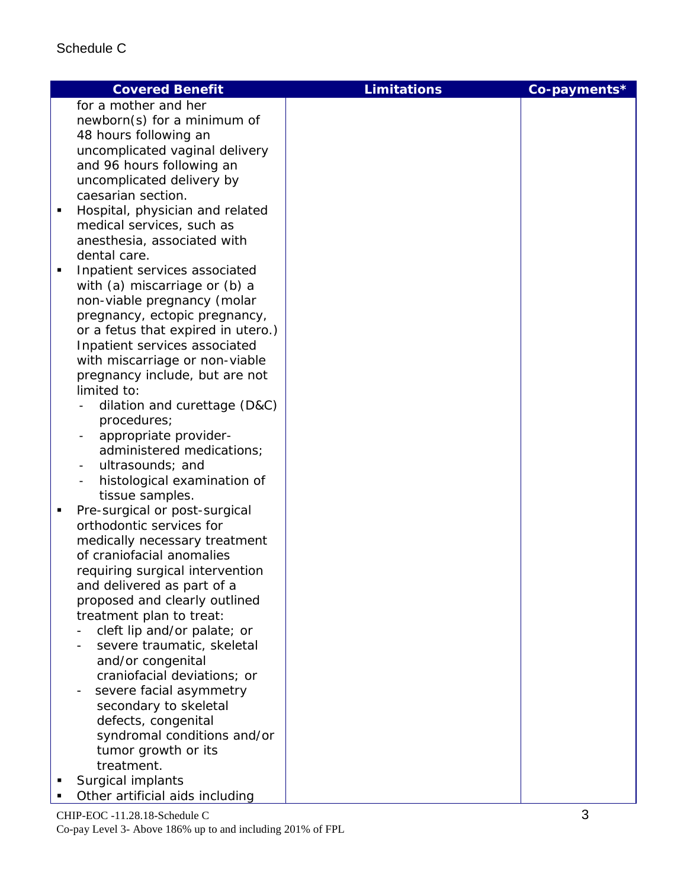|   | <b>Covered Benefit</b>                                    | <b>Limitations</b> | Co-payments* |
|---|-----------------------------------------------------------|--------------------|--------------|
|   | for a mother and her                                      |                    |              |
|   | newborn(s) for a minimum of                               |                    |              |
|   | 48 hours following an                                     |                    |              |
|   | uncomplicated vaginal delivery                            |                    |              |
|   | and 96 hours following an                                 |                    |              |
|   | uncomplicated delivery by                                 |                    |              |
|   | caesarian section.                                        |                    |              |
| ٠ | Hospital, physician and related                           |                    |              |
|   | medical services, such as                                 |                    |              |
|   | anesthesia, associated with                               |                    |              |
|   | dental care.                                              |                    |              |
| ٠ | Inpatient services associated                             |                    |              |
|   | with (a) miscarriage or (b) a                             |                    |              |
|   | non-viable pregnancy (molar                               |                    |              |
|   | pregnancy, ectopic pregnancy,                             |                    |              |
|   | or a fetus that expired in utero.)                        |                    |              |
|   | Inpatient services associated                             |                    |              |
|   | with miscarriage or non-viable                            |                    |              |
|   | pregnancy include, but are not                            |                    |              |
|   | limited to:                                               |                    |              |
|   | dilation and curettage (D&C)                              |                    |              |
|   | procedures;                                               |                    |              |
|   | appropriate provider-                                     |                    |              |
|   | administered medications;                                 |                    |              |
|   | ultrasounds; and                                          |                    |              |
|   | histological examination of                               |                    |              |
|   | tissue samples.                                           |                    |              |
| п | Pre-surgical or post-surgical<br>orthodontic services for |                    |              |
|   | medically necessary treatment                             |                    |              |
|   | of craniofacial anomalies                                 |                    |              |
|   | requiring surgical intervention                           |                    |              |
|   | and delivered as part of a                                |                    |              |
|   | proposed and clearly outlined                             |                    |              |
|   | treatment plan to treat:                                  |                    |              |
|   | cleft lip and/or palate; or                               |                    |              |
|   | severe traumatic, skeletal                                |                    |              |
|   | and/or congenital                                         |                    |              |
|   | craniofacial deviations; or                               |                    |              |
|   | severe facial asymmetry                                   |                    |              |
|   | secondary to skeletal                                     |                    |              |
|   | defects, congenital                                       |                    |              |
|   | syndromal conditions and/or                               |                    |              |
|   | tumor growth or its                                       |                    |              |
|   | treatment.                                                |                    |              |
|   | Surgical implants                                         |                    |              |
|   |                                                           |                    |              |

CHIP-EOC -11.28.18-Schedule C 3 **•** Other artificial aids including

Co-pay Level 3- Above 186% up to and including 201% of FPL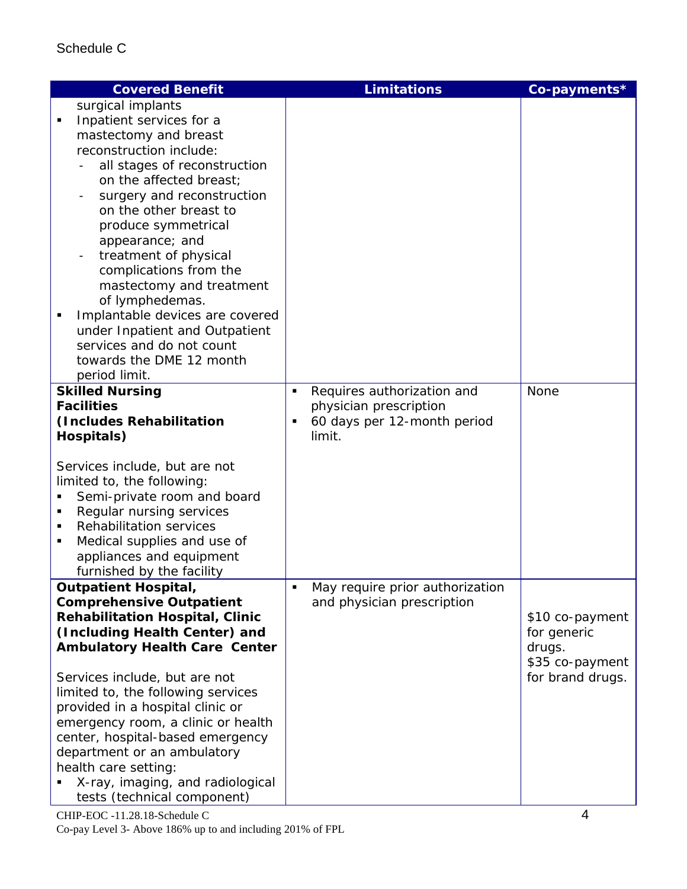|   | <b>Covered Benefit</b>                 |   | <b>Limitations</b>              | Co-payments*     |
|---|----------------------------------------|---|---------------------------------|------------------|
|   | surgical implants                      |   |                                 |                  |
|   | Inpatient services for a               |   |                                 |                  |
|   | mastectomy and breast                  |   |                                 |                  |
|   | reconstruction include:                |   |                                 |                  |
|   | all stages of reconstruction           |   |                                 |                  |
|   | on the affected breast;                |   |                                 |                  |
|   | surgery and reconstruction             |   |                                 |                  |
|   | on the other breast to                 |   |                                 |                  |
|   | produce symmetrical                    |   |                                 |                  |
|   | appearance; and                        |   |                                 |                  |
|   | treatment of physical                  |   |                                 |                  |
|   | complications from the                 |   |                                 |                  |
|   | mastectomy and treatment               |   |                                 |                  |
|   | of lymphedemas.                        |   |                                 |                  |
|   | Implantable devices are covered        |   |                                 |                  |
|   | under Inpatient and Outpatient         |   |                                 |                  |
|   | services and do not count              |   |                                 |                  |
|   | towards the DME 12 month               |   |                                 |                  |
|   | period limit.                          |   |                                 |                  |
|   | <b>Skilled Nursing</b>                 | ٠ | Requires authorization and      | None             |
|   | <b>Facilities</b>                      |   | physician prescription          |                  |
|   | (Includes Rehabilitation               |   | 60 days per 12-month period     |                  |
|   | Hospitals)                             |   | limit.                          |                  |
|   |                                        |   |                                 |                  |
|   | Services include, but are not          |   |                                 |                  |
|   | limited to, the following:             |   |                                 |                  |
|   | Semi-private room and board            |   |                                 |                  |
| п | Regular nursing services               |   |                                 |                  |
|   | <b>Rehabilitation services</b>         |   |                                 |                  |
| п | Medical supplies and use of            |   |                                 |                  |
|   | appliances and equipment               |   |                                 |                  |
|   | furnished by the facility              |   |                                 |                  |
|   | <b>Outpatient Hospital,</b>            |   | May require prior authorization |                  |
|   | <b>Comprehensive Outpatient</b>        |   | and physician prescription      |                  |
|   | <b>Rehabilitation Hospital, Clinic</b> |   |                                 | \$10 co-payment  |
|   | (Including Health Center) and          |   |                                 | for generic      |
|   | <b>Ambulatory Health Care Center</b>   |   |                                 | drugs.           |
|   |                                        |   |                                 | \$35 co-payment  |
|   | Services include, but are not          |   |                                 | for brand drugs. |
|   | limited to, the following services     |   |                                 |                  |
|   | provided in a hospital clinic or       |   |                                 |                  |
|   | emergency room, a clinic or health     |   |                                 |                  |
|   | center, hospital-based emergency       |   |                                 |                  |
|   | department or an ambulatory            |   |                                 |                  |
|   | health care setting:                   |   |                                 |                  |
|   | X-ray, imaging, and radiological       |   |                                 |                  |
|   | tests (technical component)            |   |                                 |                  |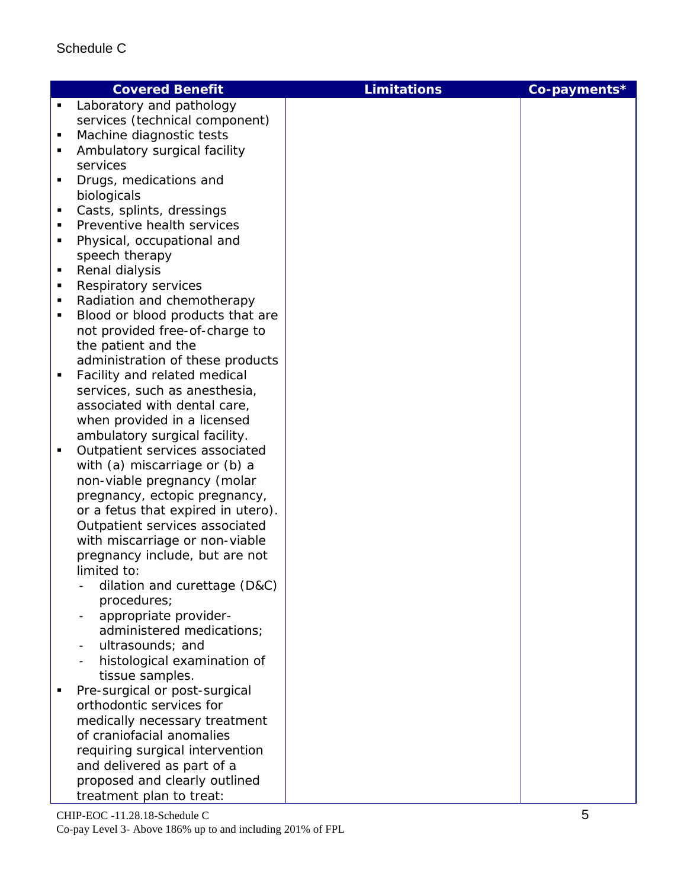|                | <b>Covered Benefit</b>             | <b>Limitations</b> | Co-payments* |
|----------------|------------------------------------|--------------------|--------------|
| $\blacksquare$ | Laboratory and pathology           |                    |              |
|                | services (technical component)     |                    |              |
|                | Machine diagnostic tests           |                    |              |
|                | Ambulatory surgical facility       |                    |              |
|                | services                           |                    |              |
|                | Drugs, medications and             |                    |              |
|                | biologicals                        |                    |              |
| п              | Casts, splints, dressings          |                    |              |
|                | Preventive health services         |                    |              |
|                | Physical, occupational and         |                    |              |
|                | speech therapy                     |                    |              |
| п              | Renal dialysis                     |                    |              |
| п              | Respiratory services               |                    |              |
| ٠              | Radiation and chemotherapy         |                    |              |
| п              | Blood or blood products that are   |                    |              |
|                | not provided free-of-charge to     |                    |              |
|                | the patient and the                |                    |              |
|                | administration of these products   |                    |              |
| ٠              | Facility and related medical       |                    |              |
|                | services, such as anesthesia,      |                    |              |
|                | associated with dental care,       |                    |              |
|                | when provided in a licensed        |                    |              |
|                | ambulatory surgical facility.      |                    |              |
| ٠              | Outpatient services associated     |                    |              |
|                | with (a) miscarriage or (b) a      |                    |              |
|                | non-viable pregnancy (molar        |                    |              |
|                | pregnancy, ectopic pregnancy,      |                    |              |
|                | or a fetus that expired in utero). |                    |              |
|                | Outpatient services associated     |                    |              |
|                | with miscarriage or non-viable     |                    |              |
|                | pregnancy include, but are not     |                    |              |
|                | limited to:                        |                    |              |
|                | dilation and curettage (D&C)       |                    |              |
|                | procedures;                        |                    |              |
|                | appropriate provider-              |                    |              |
|                | administered medications;          |                    |              |
|                | ultrasounds; and                   |                    |              |
|                | histological examination of        |                    |              |
|                | tissue samples.                    |                    |              |
|                | Pre-surgical or post-surgical      |                    |              |
|                | orthodontic services for           |                    |              |
|                | medically necessary treatment      |                    |              |
|                | of craniofacial anomalies          |                    |              |
|                | requiring surgical intervention    |                    |              |
|                | and delivered as part of a         |                    |              |
|                | proposed and clearly outlined      |                    |              |
|                | treatment plan to treat:           |                    |              |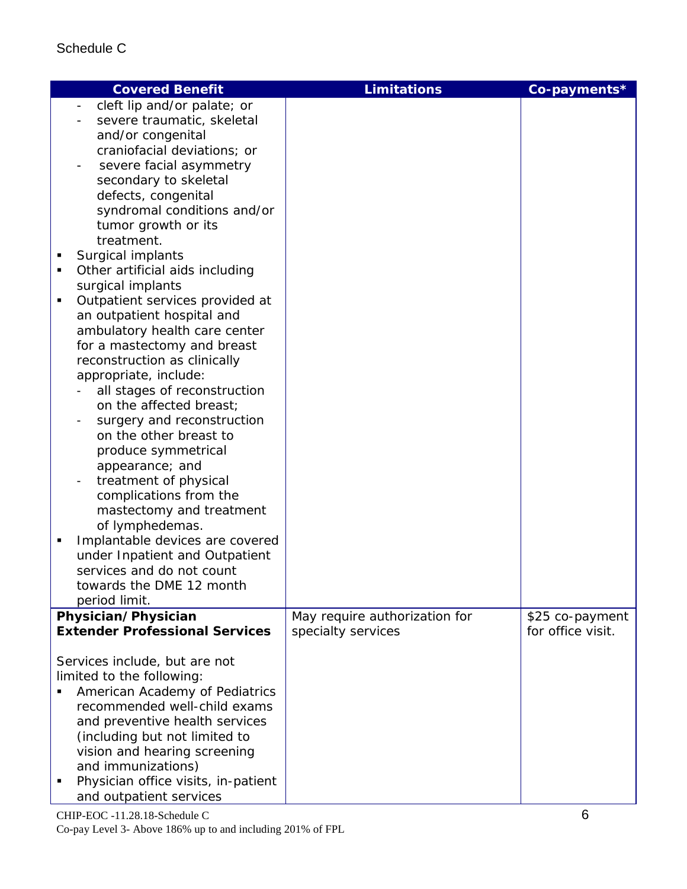| <b>Covered Benefit</b>                                                                                                                                                                                                                                                                                                                                                                                                                                                                                                                                                                                                                                                                                                                                                                                                                                                                                                                                                             | <b>Limitations</b>            | Co-payments*      |
|------------------------------------------------------------------------------------------------------------------------------------------------------------------------------------------------------------------------------------------------------------------------------------------------------------------------------------------------------------------------------------------------------------------------------------------------------------------------------------------------------------------------------------------------------------------------------------------------------------------------------------------------------------------------------------------------------------------------------------------------------------------------------------------------------------------------------------------------------------------------------------------------------------------------------------------------------------------------------------|-------------------------------|-------------------|
| cleft lip and/or palate; or<br>severe traumatic, skeletal<br>and/or congenital<br>craniofacial deviations; or<br>severe facial asymmetry<br>secondary to skeletal<br>defects, congenital<br>syndromal conditions and/or<br>tumor growth or its<br>treatment.<br>Surgical implants<br>Ξ<br>Other artificial aids including<br>п<br>surgical implants<br>Outpatient services provided at<br>$\blacksquare$<br>an outpatient hospital and<br>ambulatory health care center<br>for a mastectomy and breast<br>reconstruction as clinically<br>appropriate, include:<br>all stages of reconstruction<br>on the affected breast;<br>surgery and reconstruction<br>on the other breast to<br>produce symmetrical<br>appearance; and<br>treatment of physical<br>complications from the<br>mastectomy and treatment<br>of lymphedemas.<br>Implantable devices are covered<br>٠<br>under Inpatient and Outpatient<br>services and do not count<br>towards the DME 12 month<br>period limit. |                               |                   |
| Physician/Physician                                                                                                                                                                                                                                                                                                                                                                                                                                                                                                                                                                                                                                                                                                                                                                                                                                                                                                                                                                | May require authorization for | \$25 co-payment   |
| <b>Extender Professional Services</b>                                                                                                                                                                                                                                                                                                                                                                                                                                                                                                                                                                                                                                                                                                                                                                                                                                                                                                                                              | specialty services            | for office visit. |
| Services include, but are not<br>limited to the following:<br>American Academy of Pediatrics<br>recommended well-child exams<br>and preventive health services<br>(including but not limited to<br>vision and hearing screening<br>and immunizations)<br>Physician office visits, in-patient<br>٠<br>and outpatient services                                                                                                                                                                                                                                                                                                                                                                                                                                                                                                                                                                                                                                                       |                               |                   |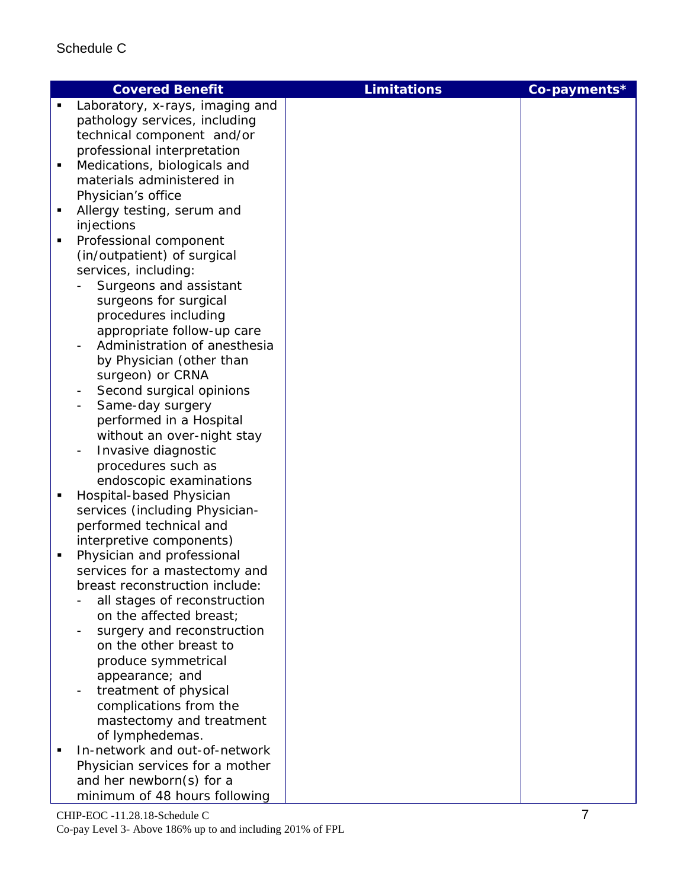|                | <b>Covered Benefit</b>                                 | <b>Limitations</b> | Co-payments* |
|----------------|--------------------------------------------------------|--------------------|--------------|
| $\blacksquare$ | Laboratory, x-rays, imaging and                        |                    |              |
|                | pathology services, including                          |                    |              |
|                | technical component and/or                             |                    |              |
|                | professional interpretation                            |                    |              |
| п              | Medications, biologicals and                           |                    |              |
|                | materials administered in                              |                    |              |
|                | Physician's office                                     |                    |              |
| ٠              | Allergy testing, serum and                             |                    |              |
|                | injections                                             |                    |              |
| $\blacksquare$ | Professional component                                 |                    |              |
|                | (in/outpatient) of surgical                            |                    |              |
|                | services, including:                                   |                    |              |
|                | Surgeons and assistant                                 |                    |              |
|                | surgeons for surgical                                  |                    |              |
|                | procedures including                                   |                    |              |
|                | appropriate follow-up care                             |                    |              |
|                | Administration of anesthesia                           |                    |              |
|                | by Physician (other than                               |                    |              |
|                | surgeon) or CRNA                                       |                    |              |
|                | Second surgical opinions<br>$\overline{\phantom{a}}$   |                    |              |
|                | Same-day surgery                                       |                    |              |
|                | performed in a Hospital                                |                    |              |
|                | without an over-night stay                             |                    |              |
|                | Invasive diagnostic                                    |                    |              |
|                |                                                        |                    |              |
|                | procedures such as<br>endoscopic examinations          |                    |              |
| П              |                                                        |                    |              |
|                | Hospital-based Physician                               |                    |              |
|                | services (including Physician-                         |                    |              |
|                | performed technical and                                |                    |              |
| п              | interpretive components)<br>Physician and professional |                    |              |
|                | services for a mastectomy and                          |                    |              |
|                | breast reconstruction include:                         |                    |              |
|                | all stages of reconstruction                           |                    |              |
|                | on the affected breast;                                |                    |              |
|                | surgery and reconstruction                             |                    |              |
|                | on the other breast to                                 |                    |              |
|                | produce symmetrical                                    |                    |              |
|                | appearance; and                                        |                    |              |
|                | treatment of physical                                  |                    |              |
|                | complications from the                                 |                    |              |
|                | mastectomy and treatment                               |                    |              |
|                | of lymphedemas.                                        |                    |              |
|                | In-network and out-of-network                          |                    |              |
|                | Physician services for a mother                        |                    |              |
|                | and her newborn(s) for a                               |                    |              |
|                | minimum of 48 hours following                          |                    |              |
|                |                                                        |                    |              |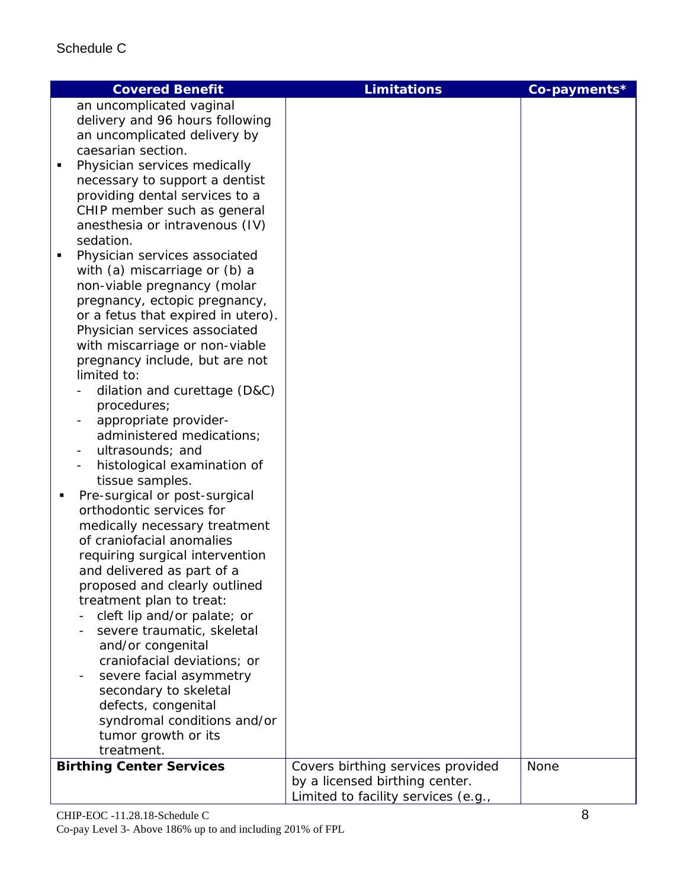| <b>Covered Benefit</b>                                                                                                                                                                                                                                                                                                                                                                                                                                                                                                                                                                                                                                                                                                                                                                                 | <b>Limitations</b>                                                                                         | Co-payments* |
|--------------------------------------------------------------------------------------------------------------------------------------------------------------------------------------------------------------------------------------------------------------------------------------------------------------------------------------------------------------------------------------------------------------------------------------------------------------------------------------------------------------------------------------------------------------------------------------------------------------------------------------------------------------------------------------------------------------------------------------------------------------------------------------------------------|------------------------------------------------------------------------------------------------------------|--------------|
| an uncomplicated vaginal<br>delivery and 96 hours following<br>an uncomplicated delivery by<br>caesarian section.<br>Physician services medically<br>٠<br>necessary to support a dentist<br>providing dental services to a<br>CHIP member such as general<br>anesthesia or intravenous (IV)<br>sedation.<br>Physician services associated<br>$\blacksquare$<br>with (a) miscarriage or (b) a<br>non-viable pregnancy (molar<br>pregnancy, ectopic pregnancy,<br>or a fetus that expired in utero).                                                                                                                                                                                                                                                                                                     |                                                                                                            |              |
| Physician services associated<br>with miscarriage or non-viable<br>pregnancy include, but are not<br>limited to:<br>dilation and curettage (D&C)<br>procedures;<br>appropriate provider-<br>administered medications;<br>ultrasounds; and<br>histological examination of<br>tissue samples.<br>Pre-surgical or post-surgical<br>orthodontic services for<br>medically necessary treatment<br>of craniofacial anomalies<br>requiring surgical intervention<br>and delivered as part of a<br>proposed and clearly outlined<br>treatment plan to treat:<br>cleft lip and/or palate; or<br>severe traumatic, skeletal<br>and/or congenital<br>craniofacial deviations; or<br>severe facial asymmetry<br>secondary to skeletal<br>defects, congenital<br>syndromal conditions and/or<br>tumor growth or its |                                                                                                            |              |
| treatment.                                                                                                                                                                                                                                                                                                                                                                                                                                                                                                                                                                                                                                                                                                                                                                                             |                                                                                                            |              |
| <b>Birthing Center Services</b>                                                                                                                                                                                                                                                                                                                                                                                                                                                                                                                                                                                                                                                                                                                                                                        | Covers birthing services provided<br>by a licensed birthing center.<br>Limited to facility services (e.g., | None         |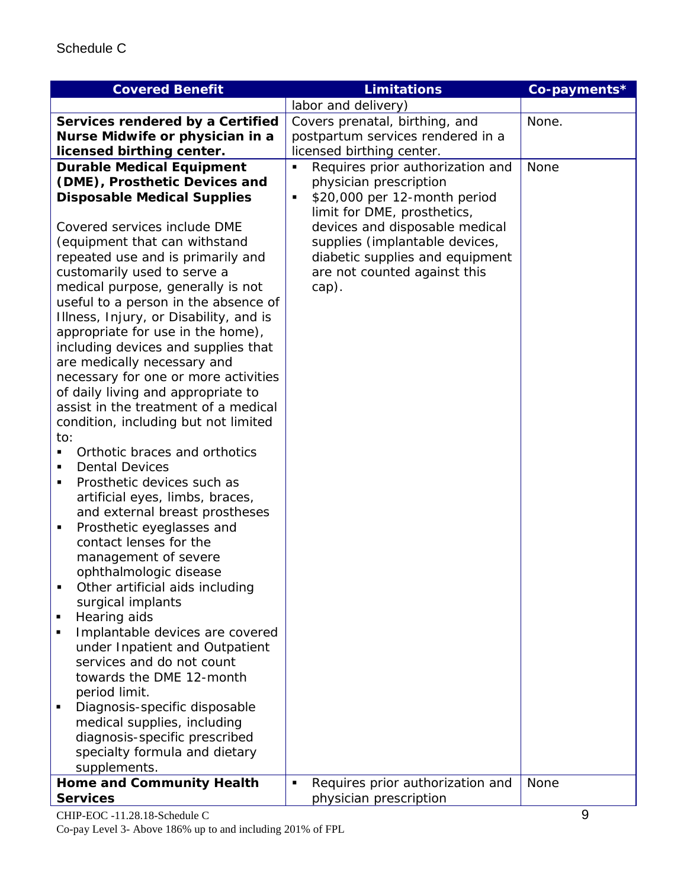| <b>Covered Benefit</b>                              | <b>Limitations</b>                    | Co-payments* |
|-----------------------------------------------------|---------------------------------------|--------------|
|                                                     | labor and delivery)                   |              |
| Services rendered by a Certified                    | Covers prenatal, birthing, and        | None.        |
| Nurse Midwife or physician in a                     | postpartum services rendered in a     |              |
| licensed birthing center.                           | licensed birthing center.             |              |
| <b>Durable Medical Equipment</b>                    | Requires prior authorization and<br>п | None         |
| (DME), Prosthetic Devices and                       | physician prescription                |              |
| <b>Disposable Medical Supplies</b>                  | \$20,000 per 12-month period<br>Ξ     |              |
|                                                     | limit for DME, prosthetics,           |              |
| Covered services include DME                        | devices and disposable medical        |              |
| (equipment that can withstand                       | supplies (implantable devices,        |              |
| repeated use and is primarily and                   | diabetic supplies and equipment       |              |
| customarily used to serve a                         | are not counted against this          |              |
| medical purpose, generally is not                   | cap).                                 |              |
| useful to a person in the absence of                |                                       |              |
| Illness, Injury, or Disability, and is              |                                       |              |
| appropriate for use in the home),                   |                                       |              |
| including devices and supplies that                 |                                       |              |
| are medically necessary and                         |                                       |              |
| necessary for one or more activities                |                                       |              |
| of daily living and appropriate to                  |                                       |              |
| assist in the treatment of a medical                |                                       |              |
| condition, including but not limited                |                                       |              |
| to:                                                 |                                       |              |
| Orthotic braces and orthotics<br>$\blacksquare$     |                                       |              |
| <b>Dental Devices</b><br>$\blacksquare$             |                                       |              |
| Prosthetic devices such as<br>٠                     |                                       |              |
| artificial eyes, limbs, braces,                     |                                       |              |
| and external breast prostheses                      |                                       |              |
| Prosthetic eyeglasses and<br>٠                      |                                       |              |
| contact lenses for the                              |                                       |              |
| management of severe                                |                                       |              |
| ophthalmologic disease                              |                                       |              |
| Other artificial aids including                     |                                       |              |
| surgical implants<br>Hearing aids<br>$\blacksquare$ |                                       |              |
| Implantable devices are covered<br>٠                |                                       |              |
| under Inpatient and Outpatient                      |                                       |              |
| services and do not count                           |                                       |              |
| towards the DME 12-month                            |                                       |              |
| period limit.                                       |                                       |              |
| Diagnosis-specific disposable<br>п                  |                                       |              |
| medical supplies, including                         |                                       |              |
| diagnosis-specific prescribed                       |                                       |              |
| specialty formula and dietary                       |                                       |              |
| supplements.                                        |                                       |              |
| <b>Home and Community Health</b>                    | Requires prior authorization and<br>Ξ | None         |
| <b>Services</b>                                     | physician prescription                |              |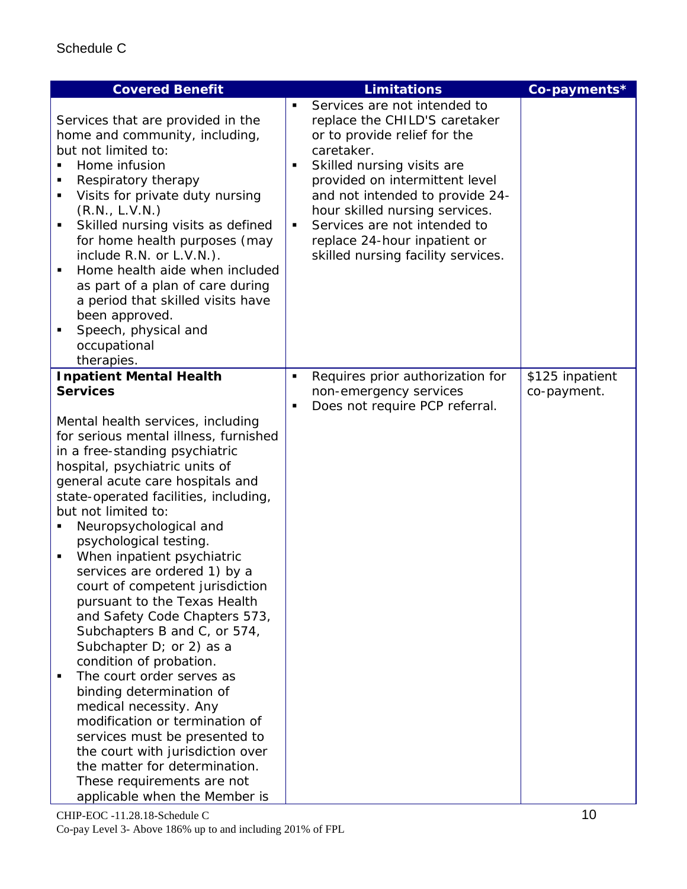| <b>Covered Benefit</b>                                                                                                                                                                                                                                                                                                                                                                                                                                                                                                                                                                                                                                                                                                                                                                                                                                                           |                     | <b>Limitations</b>                                                                                                                                                                                                                                                                                                                                     | Co-payments*    |
|----------------------------------------------------------------------------------------------------------------------------------------------------------------------------------------------------------------------------------------------------------------------------------------------------------------------------------------------------------------------------------------------------------------------------------------------------------------------------------------------------------------------------------------------------------------------------------------------------------------------------------------------------------------------------------------------------------------------------------------------------------------------------------------------------------------------------------------------------------------------------------|---------------------|--------------------------------------------------------------------------------------------------------------------------------------------------------------------------------------------------------------------------------------------------------------------------------------------------------------------------------------------------------|-----------------|
| Services that are provided in the<br>home and community, including,<br>but not limited to:<br>Home infusion<br>Respiratory therapy<br>Visits for private duty nursing<br>٠<br>(R.N., L.V.N.)<br>Skilled nursing visits as defined<br>$\blacksquare$<br>for home health purposes (may<br>include R.N. or L.V.N.).<br>Home health aide when included<br>as part of a plan of care during<br>a period that skilled visits have<br>been approved.<br>Speech, physical and<br>occupational<br>therapies.                                                                                                                                                                                                                                                                                                                                                                              | ٠<br>$\blacksquare$ | Services are not intended to<br>replace the CHILD'S caretaker<br>or to provide relief for the<br>caretaker.<br>Skilled nursing visits are<br>provided on intermittent level<br>and not intended to provide 24-<br>hour skilled nursing services.<br>Services are not intended to<br>replace 24-hour inpatient or<br>skilled nursing facility services. |                 |
| <b>Inpatient Mental Health</b>                                                                                                                                                                                                                                                                                                                                                                                                                                                                                                                                                                                                                                                                                                                                                                                                                                                   | $\blacksquare$      | Requires prior authorization for                                                                                                                                                                                                                                                                                                                       | \$125 inpatient |
| <b>Services</b>                                                                                                                                                                                                                                                                                                                                                                                                                                                                                                                                                                                                                                                                                                                                                                                                                                                                  | $\blacksquare$      | non-emergency services<br>Does not require PCP referral.                                                                                                                                                                                                                                                                                               | co-payment.     |
| Mental health services, including<br>for serious mental illness, furnished<br>in a free-standing psychiatric<br>hospital, psychiatric units of<br>general acute care hospitals and<br>state-operated facilities, including,<br>but not limited to:<br>Neuropsychological and<br>psychological testing.<br>When inpatient psychiatric<br>$\blacksquare$<br>services are ordered 1) by a<br>court of competent jurisdiction<br>pursuant to the Texas Health<br>and Safety Code Chapters 573,<br>Subchapters B and C, or 574,<br>Subchapter D; or 2) as a<br>condition of probation.<br>The court order serves as<br>٠<br>binding determination of<br>medical necessity. Any<br>modification or termination of<br>services must be presented to<br>the court with jurisdiction over<br>the matter for determination.<br>These requirements are not<br>applicable when the Member is |                     |                                                                                                                                                                                                                                                                                                                                                        |                 |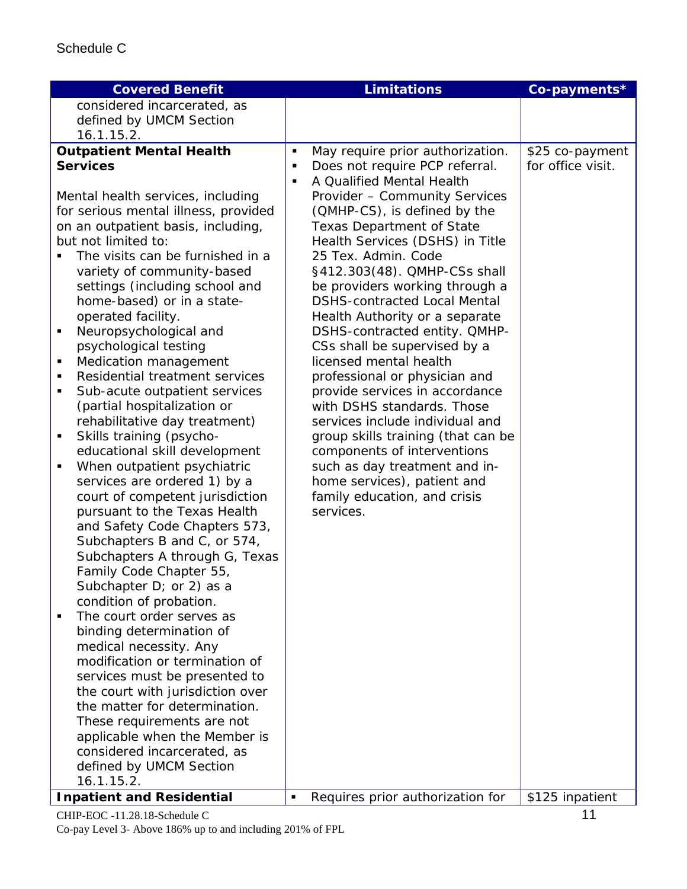| <b>Covered Benefit</b>                      |                | <b>Limitations</b>                  | Co-payments*      |
|---------------------------------------------|----------------|-------------------------------------|-------------------|
| considered incarcerated, as                 |                |                                     |                   |
| defined by UMCM Section                     |                |                                     |                   |
| 16.1.15.2.                                  |                |                                     |                   |
| <b>Outpatient Mental Health</b>             | п              | May require prior authorization.    | \$25 co-payment   |
| <b>Services</b>                             | ٠              | Does not require PCP referral.      | for office visit. |
|                                             | П              | A Qualified Mental Health           |                   |
| Mental health services, including           |                | Provider - Community Services       |                   |
| for serious mental illness, provided        |                | (QMHP-CS), is defined by the        |                   |
| on an outpatient basis, including,          |                | <b>Texas Department of State</b>    |                   |
| but not limited to:                         |                | Health Services (DSHS) in Title     |                   |
| The visits can be furnished in a            |                | 25 Tex. Admin. Code                 |                   |
| variety of community-based                  |                | §412.303(48). QMHP-CSs shall        |                   |
| settings (including school and              |                | be providers working through a      |                   |
| home-based) or in a state-                  |                | <b>DSHS-contracted Local Mental</b> |                   |
| operated facility.                          |                | Health Authority or a separate      |                   |
| Neuropsychological and<br>٠                 |                | DSHS-contracted entity. QMHP-       |                   |
| psychological testing                       |                | CSs shall be supervised by a        |                   |
| Medication management<br>Ξ                  |                | licensed mental health              |                   |
| Residential treatment services<br>п         |                | professional or physician and       |                   |
| Sub-acute outpatient services<br>п          |                | provide services in accordance      |                   |
| (partial hospitalization or                 |                | with DSHS standards. Those          |                   |
| rehabilitative day treatment)               |                | services include individual and     |                   |
| Skills training (psycho-<br>Ξ               |                | group skills training (that can be  |                   |
| educational skill development               |                | components of interventions         |                   |
| When outpatient psychiatric<br>٠            |                | such as day treatment and in-       |                   |
| services are ordered 1) by a                |                | home services), patient and         |                   |
| court of competent jurisdiction             |                | family education, and crisis        |                   |
| pursuant to the Texas Health                |                | services.                           |                   |
| and Safety Code Chapters 573,               |                |                                     |                   |
| Subchapters B and C, or 574,                |                |                                     |                   |
| Subchapters A through G, Texas              |                |                                     |                   |
| Family Code Chapter 55,                     |                |                                     |                   |
| Subchapter $D$ ; or 2) as a                 |                |                                     |                   |
| condition of probation.                     |                |                                     |                   |
| The court order serves as<br>$\blacksquare$ |                |                                     |                   |
| binding determination of                    |                |                                     |                   |
| medical necessity. Any                      |                |                                     |                   |
| modification or termination of              |                |                                     |                   |
| services must be presented to               |                |                                     |                   |
| the court with jurisdiction over            |                |                                     |                   |
| the matter for determination.               |                |                                     |                   |
| These requirements are not                  |                |                                     |                   |
| applicable when the Member is               |                |                                     |                   |
| considered incarcerated, as                 |                |                                     |                   |
| defined by UMCM Section                     |                |                                     |                   |
| 16.1.15.2.                                  |                |                                     |                   |
| <b>Inpatient and Residential</b>            | $\blacksquare$ | Requires prior authorization for    | \$125 inpatient   |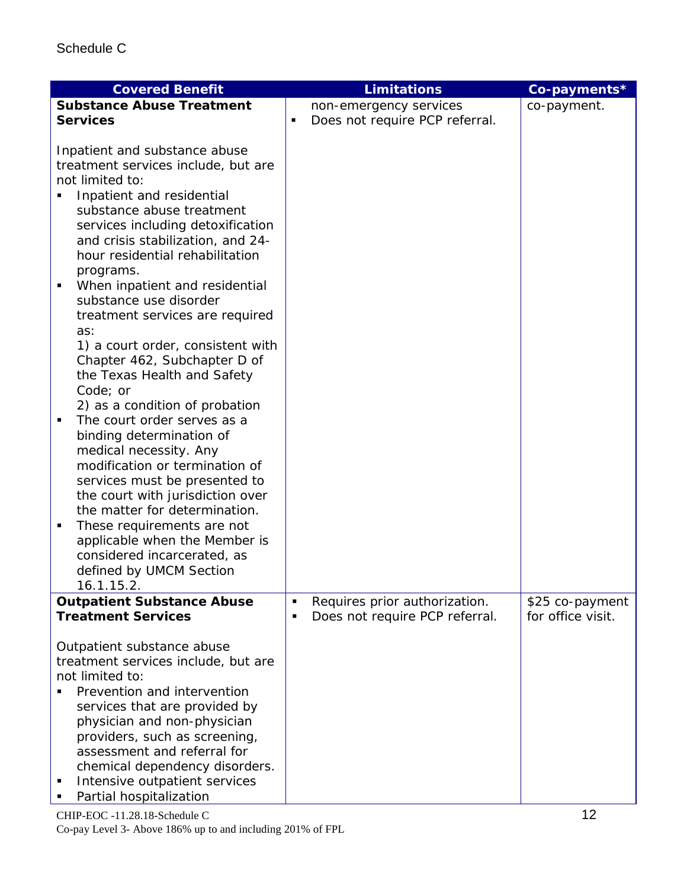| <b>Covered Benefit</b>                                                                                                                                                                                                                                                                                                                                                                                                                                                                                                                                                                                                                                                                                                                                                                                                                                                                              |   | <b>Limitations</b>             | Co-payments*                         |
|-----------------------------------------------------------------------------------------------------------------------------------------------------------------------------------------------------------------------------------------------------------------------------------------------------------------------------------------------------------------------------------------------------------------------------------------------------------------------------------------------------------------------------------------------------------------------------------------------------------------------------------------------------------------------------------------------------------------------------------------------------------------------------------------------------------------------------------------------------------------------------------------------------|---|--------------------------------|--------------------------------------|
| <b>Substance Abuse Treatment</b>                                                                                                                                                                                                                                                                                                                                                                                                                                                                                                                                                                                                                                                                                                                                                                                                                                                                    |   | non-emergency services         | co-payment.                          |
| <b>Services</b>                                                                                                                                                                                                                                                                                                                                                                                                                                                                                                                                                                                                                                                                                                                                                                                                                                                                                     | п | Does not require PCP referral. |                                      |
| Inpatient and substance abuse<br>treatment services include, but are<br>not limited to:<br>Inpatient and residential<br>substance abuse treatment<br>services including detoxification<br>and crisis stabilization, and 24-<br>hour residential rehabilitation<br>programs.<br>When inpatient and residential<br>٠<br>substance use disorder<br>treatment services are required<br>as:<br>1) a court order, consistent with<br>Chapter 462, Subchapter D of<br>the Texas Health and Safety<br>Code; or<br>2) as a condition of probation<br>The court order serves as a<br>binding determination of<br>medical necessity. Any<br>modification or termination of<br>services must be presented to<br>the court with jurisdiction over<br>the matter for determination.<br>These requirements are not<br>٠<br>applicable when the Member is<br>considered incarcerated, as<br>defined by UMCM Section |   |                                |                                      |
| 16.1.15.2.                                                                                                                                                                                                                                                                                                                                                                                                                                                                                                                                                                                                                                                                                                                                                                                                                                                                                          |   |                                |                                      |
| <b>Outpatient Substance Abuse</b>                                                                                                                                                                                                                                                                                                                                                                                                                                                                                                                                                                                                                                                                                                                                                                                                                                                                   | П | Requires prior authorization.  | \$25 co-payment<br>for office visit. |
| <b>Treatment Services</b>                                                                                                                                                                                                                                                                                                                                                                                                                                                                                                                                                                                                                                                                                                                                                                                                                                                                           | п | Does not require PCP referral. |                                      |
| Outpatient substance abuse<br>treatment services include, but are<br>not limited to:<br>Prevention and intervention<br>services that are provided by<br>physician and non-physician<br>providers, such as screening,<br>assessment and referral for<br>chemical dependency disorders.<br>Intensive outpatient services<br>Partial hospitalization                                                                                                                                                                                                                                                                                                                                                                                                                                                                                                                                                   |   |                                |                                      |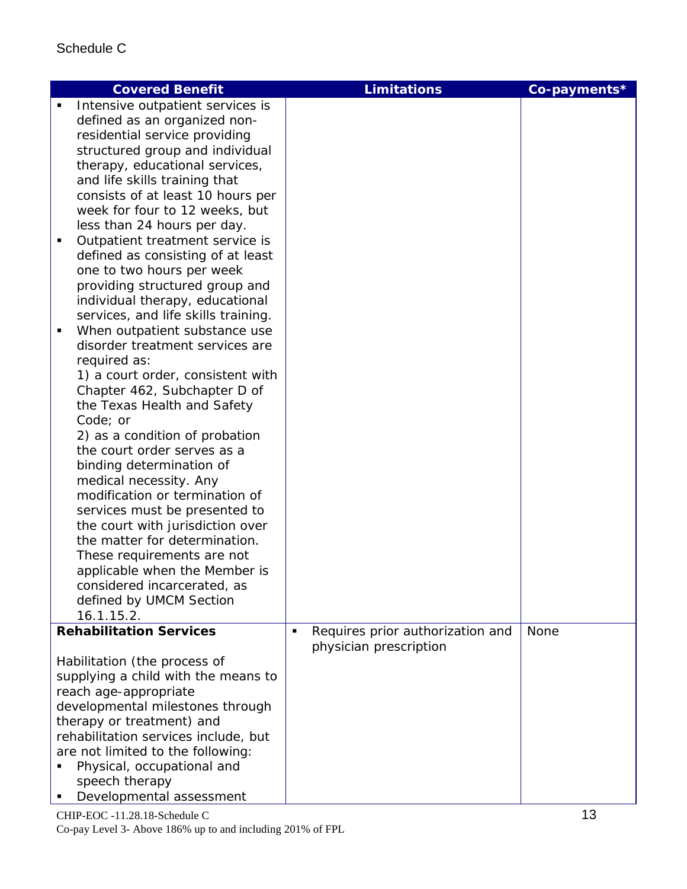|   | <b>Covered Benefit</b>                       |   | <b>Limitations</b>               | Co-payments* |
|---|----------------------------------------------|---|----------------------------------|--------------|
|   | Intensive outpatient services is             |   |                                  |              |
|   | defined as an organized non-                 |   |                                  |              |
|   | residential service providing                |   |                                  |              |
|   | structured group and individual              |   |                                  |              |
|   | therapy, educational services,               |   |                                  |              |
|   | and life skills training that                |   |                                  |              |
|   | consists of at least 10 hours per            |   |                                  |              |
|   | week for four to 12 weeks, but               |   |                                  |              |
|   | less than 24 hours per day.                  |   |                                  |              |
| п | Outpatient treatment service is              |   |                                  |              |
|   | defined as consisting of at least            |   |                                  |              |
|   | one to two hours per week                    |   |                                  |              |
|   | providing structured group and               |   |                                  |              |
|   | individual therapy, educational              |   |                                  |              |
|   | services, and life skills training.          |   |                                  |              |
|   | When outpatient substance use                |   |                                  |              |
|   | disorder treatment services are              |   |                                  |              |
|   | required as:                                 |   |                                  |              |
|   | 1) a court order, consistent with            |   |                                  |              |
|   | Chapter 462, Subchapter D of                 |   |                                  |              |
|   | the Texas Health and Safety                  |   |                                  |              |
|   | Code; or                                     |   |                                  |              |
|   | 2) as a condition of probation               |   |                                  |              |
|   | the court order serves as a                  |   |                                  |              |
|   | binding determination of                     |   |                                  |              |
|   | medical necessity. Any                       |   |                                  |              |
|   | modification or termination of               |   |                                  |              |
|   | services must be presented to                |   |                                  |              |
|   | the court with jurisdiction over             |   |                                  |              |
|   | the matter for determination.                |   |                                  |              |
|   | These requirements are not                   |   |                                  |              |
|   | applicable when the Member is                |   |                                  |              |
|   | considered incarcerated, as                  |   |                                  |              |
|   | defined by UMCM Section                      |   |                                  |              |
|   | 16.1.15.2.                                   |   |                                  |              |
|   | <b>Rehabilitation Services</b>               | п | Requires prior authorization and | None         |
|   |                                              |   | physician prescription           |              |
|   |                                              |   |                                  |              |
|   | Habilitation (the process of                 |   |                                  |              |
|   | supplying a child with the means to          |   |                                  |              |
|   | reach age-appropriate                        |   |                                  |              |
|   | developmental milestones through             |   |                                  |              |
|   | therapy or treatment) and                    |   |                                  |              |
|   | rehabilitation services include, but         |   |                                  |              |
|   | are not limited to the following:            |   |                                  |              |
|   | Physical, occupational and<br>speech therapy |   |                                  |              |

 $CHIP-EOC -11.28.18-Schedule C$  13 Co-pay Level 3- Above 186% up to and including 201% of FPL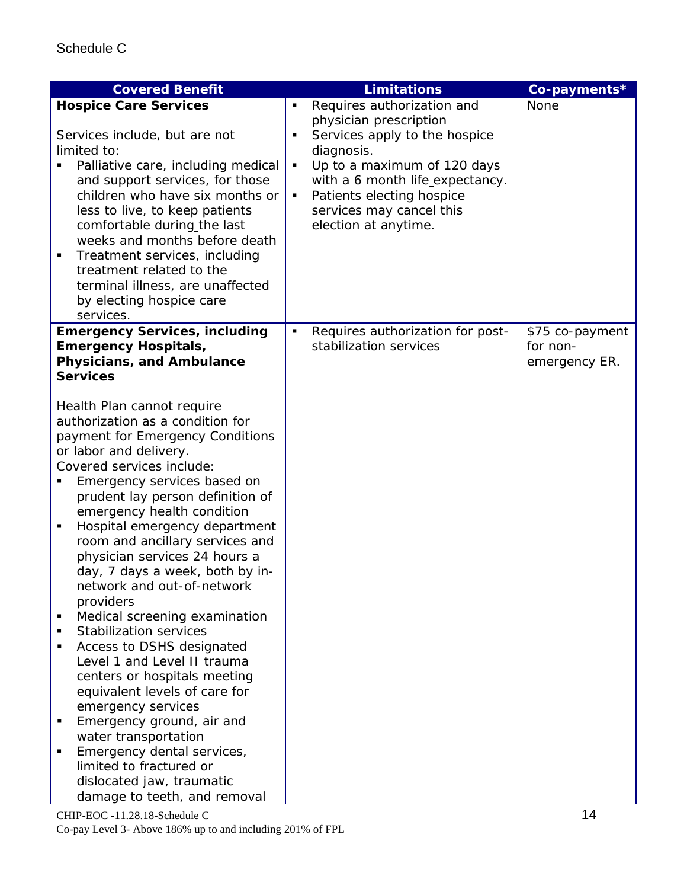| <b>Covered Benefit</b>                                          |   | <b>Limitations</b>               | Co-payments*    |
|-----------------------------------------------------------------|---|----------------------------------|-----------------|
| <b>Hospice Care Services</b>                                    | ٠ | Requires authorization and       | None            |
|                                                                 |   | physician prescription           |                 |
| Services include, but are not                                   | Ξ | Services apply to the hospice    |                 |
| limited to:                                                     |   | diagnosis.                       |                 |
| Palliative care, including medical                              | ٠ | Up to a maximum of 120 days      |                 |
| and support services, for those                                 |   | with a 6 month life_expectancy.  |                 |
| children who have six months or                                 | ٠ | Patients electing hospice        |                 |
| less to live, to keep patients                                  |   | services may cancel this         |                 |
| comfortable during the last                                     |   | election at anytime.             |                 |
| weeks and months before death                                   |   |                                  |                 |
| Treatment services, including<br>٠                              |   |                                  |                 |
| treatment related to the                                        |   |                                  |                 |
| terminal illness, are unaffected                                |   |                                  |                 |
| by electing hospice care                                        |   |                                  |                 |
| services.                                                       |   |                                  |                 |
| <b>Emergency Services, including</b>                            | ٠ | Requires authorization for post- | \$75 co-payment |
| <b>Emergency Hospitals,</b>                                     |   | stabilization services           | for non-        |
| <b>Physicians, and Ambulance</b>                                |   |                                  | emergency ER.   |
| <b>Services</b>                                                 |   |                                  |                 |
|                                                                 |   |                                  |                 |
| Health Plan cannot require                                      |   |                                  |                 |
| authorization as a condition for                                |   |                                  |                 |
| payment for Emergency Conditions                                |   |                                  |                 |
| or labor and delivery.<br>Covered services include:             |   |                                  |                 |
|                                                                 |   |                                  |                 |
| Emergency services based on<br>prudent lay person definition of |   |                                  |                 |
| emergency health condition                                      |   |                                  |                 |
| Hospital emergency department<br>٠                              |   |                                  |                 |
| room and ancillary services and                                 |   |                                  |                 |
| physician services 24 hours a                                   |   |                                  |                 |
| day, 7 days a week, both by in-                                 |   |                                  |                 |
| network and out-of-network                                      |   |                                  |                 |
| providers                                                       |   |                                  |                 |
| Medical screening examination<br>٠                              |   |                                  |                 |
| <b>Stabilization services</b><br>٠                              |   |                                  |                 |
| Access to DSHS designated                                       |   |                                  |                 |
| Level 1 and Level II trauma                                     |   |                                  |                 |
| centers or hospitals meeting                                    |   |                                  |                 |
| equivalent levels of care for                                   |   |                                  |                 |
| emergency services                                              |   |                                  |                 |
| Emergency ground, air and                                       |   |                                  |                 |
| water transportation                                            |   |                                  |                 |
| Emergency dental services,                                      |   |                                  |                 |
| limited to fractured or                                         |   |                                  |                 |
| dislocated jaw, traumatic                                       |   |                                  |                 |
| damage to teeth, and removal                                    |   |                                  |                 |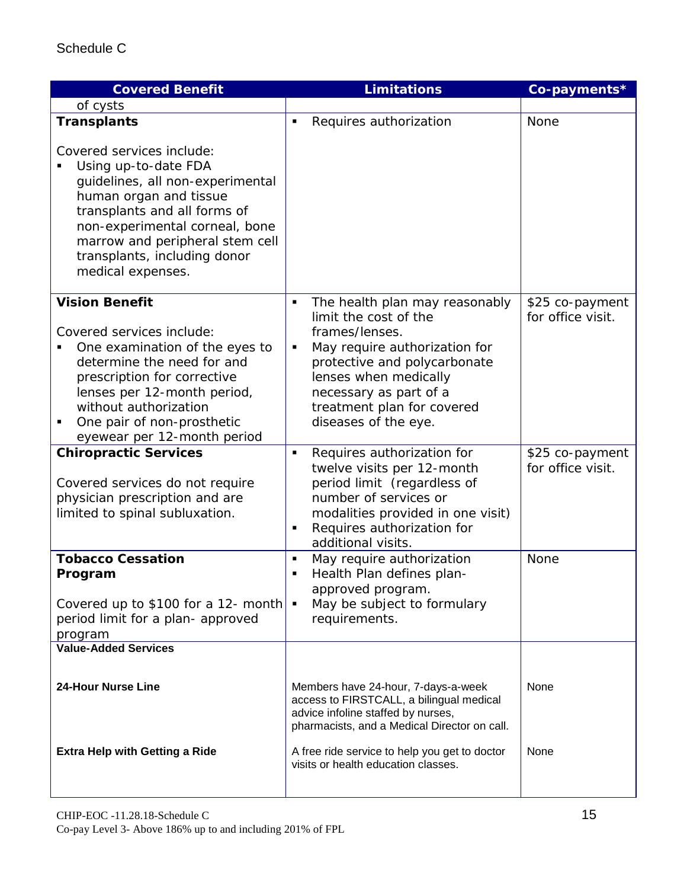| <b>Covered Benefit</b>                                                                                                                                                                                                                                                    | <b>Limitations</b>                                                                                                                                                                                                                                            | Co-payments*                         |
|---------------------------------------------------------------------------------------------------------------------------------------------------------------------------------------------------------------------------------------------------------------------------|---------------------------------------------------------------------------------------------------------------------------------------------------------------------------------------------------------------------------------------------------------------|--------------------------------------|
| of cysts                                                                                                                                                                                                                                                                  |                                                                                                                                                                                                                                                               |                                      |
| <b>Transplants</b>                                                                                                                                                                                                                                                        | Requires authorization<br>П                                                                                                                                                                                                                                   | None                                 |
| Covered services include:<br>Using up-to-date FDA<br>guidelines, all non-experimental<br>human organ and tissue<br>transplants and all forms of<br>non-experimental corneal, bone<br>marrow and peripheral stem cell<br>transplants, including donor<br>medical expenses. |                                                                                                                                                                                                                                                               |                                      |
| <b>Vision Benefit</b><br>Covered services include:<br>One examination of the eyes to<br>determine the need for and<br>prescription for corrective<br>lenses per 12-month period,<br>without authorization<br>One pair of non-prosthetic<br>eyewear per 12-month period    | The health plan may reasonably<br>٠<br>limit the cost of the<br>frames/lenses.<br>May require authorization for<br>٠<br>protective and polycarbonate<br>lenses when medically<br>necessary as part of a<br>treatment plan for covered<br>diseases of the eye. | \$25 co-payment<br>for office visit. |
| <b>Chiropractic Services</b><br>Covered services do not require<br>physician prescription and are<br>limited to spinal subluxation.                                                                                                                                       | Requires authorization for<br>Ξ<br>twelve visits per 12-month<br>period limit (regardless of<br>number of services or<br>modalities provided in one visit)<br>Requires authorization for<br>٠<br>additional visits.                                           | \$25 co-payment<br>for office visit. |
| <b>Tobacco Cessation</b><br>Program<br>Covered up to \$100 for a 12- month $\bullet$<br>period limit for a plan- approved<br>program                                                                                                                                      | May require authorization<br>٠<br>Health Plan defines plan-<br>٠<br>approved program.<br>May be subject to formulary<br>requirements.                                                                                                                         | None                                 |
| <b>Value-Added Services</b>                                                                                                                                                                                                                                               |                                                                                                                                                                                                                                                               |                                      |
| <b>24-Hour Nurse Line</b>                                                                                                                                                                                                                                                 | Members have 24-hour, 7-days-a-week<br>access to FIRSTCALL, a bilingual medical<br>advice infoline staffed by nurses,<br>pharmacists, and a Medical Director on call.                                                                                         | None                                 |
| <b>Extra Help with Getting a Ride</b>                                                                                                                                                                                                                                     | A free ride service to help you get to doctor<br>visits or health education classes.                                                                                                                                                                          | None                                 |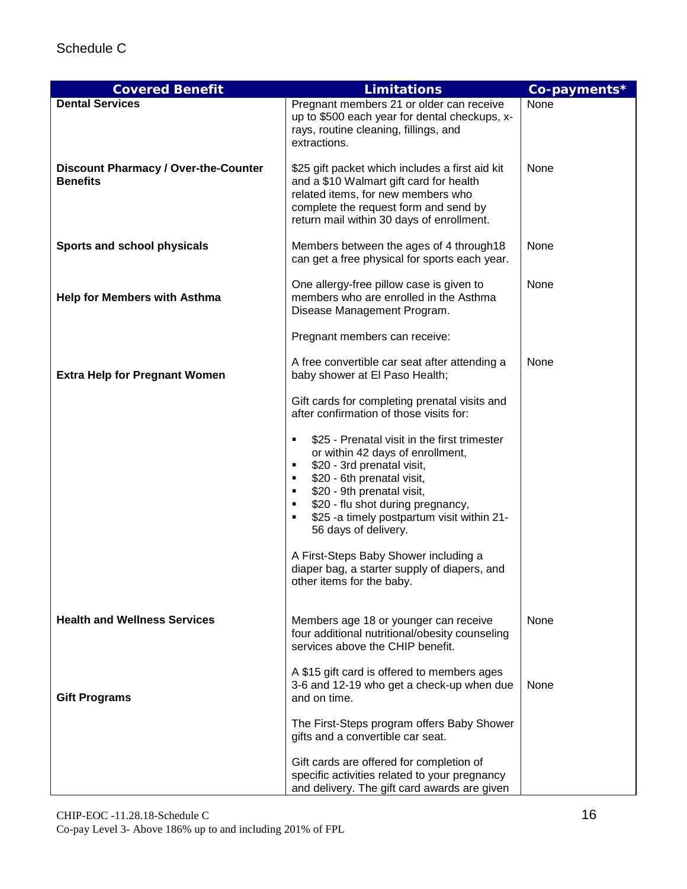| <b>Covered Benefit</b>                                         | <b>Limitations</b>                                                                                                                                                                                                                                                                                                  | Co-payments* |
|----------------------------------------------------------------|---------------------------------------------------------------------------------------------------------------------------------------------------------------------------------------------------------------------------------------------------------------------------------------------------------------------|--------------|
| <b>Dental Services</b>                                         | Pregnant members 21 or older can receive<br>up to \$500 each year for dental checkups, x-<br>rays, routine cleaning, fillings, and<br>extractions.                                                                                                                                                                  | None         |
| <b>Discount Pharmacy / Over-the-Counter</b><br><b>Benefits</b> | \$25 gift packet which includes a first aid kit<br>and a \$10 Walmart gift card for health<br>related items, for new members who<br>complete the request form and send by<br>return mail within 30 days of enrollment.                                                                                              | None         |
| Sports and school physicals                                    | Members between the ages of 4 through 18<br>can get a free physical for sports each year.                                                                                                                                                                                                                           | None         |
| <b>Help for Members with Asthma</b>                            | One allergy-free pillow case is given to<br>members who are enrolled in the Asthma<br>Disease Management Program.                                                                                                                                                                                                   | None         |
|                                                                | Pregnant members can receive:                                                                                                                                                                                                                                                                                       |              |
| <b>Extra Help for Pregnant Women</b>                           | A free convertible car seat after attending a<br>baby shower at El Paso Health;                                                                                                                                                                                                                                     | None         |
|                                                                | Gift cards for completing prenatal visits and<br>after confirmation of those visits for:                                                                                                                                                                                                                            |              |
|                                                                | \$25 - Prenatal visit in the first trimester<br>٠<br>or within 42 days of enrollment,<br>\$20 - 3rd prenatal visit,<br>٠<br>\$20 - 6th prenatal visit,<br>٠<br>\$20 - 9th prenatal visit,<br>٠<br>\$20 - flu shot during pregnancy,<br>٠<br>\$25 -a timely postpartum visit within 21-<br>٠<br>56 days of delivery. |              |
|                                                                | A First-Steps Baby Shower including a<br>diaper bag, a starter supply of diapers, and<br>other items for the baby.                                                                                                                                                                                                  |              |
| <b>Health and Wellness Services</b>                            | Members age 18 or younger can receive<br>four additional nutritional/obesity counseling<br>services above the CHIP benefit.                                                                                                                                                                                         | None         |
| <b>Gift Programs</b>                                           | A \$15 gift card is offered to members ages<br>3-6 and 12-19 who get a check-up when due<br>and on time.                                                                                                                                                                                                            | None         |
|                                                                | The First-Steps program offers Baby Shower<br>gifts and a convertible car seat.                                                                                                                                                                                                                                     |              |
|                                                                | Gift cards are offered for completion of<br>specific activities related to your pregnancy<br>and delivery. The gift card awards are given                                                                                                                                                                           |              |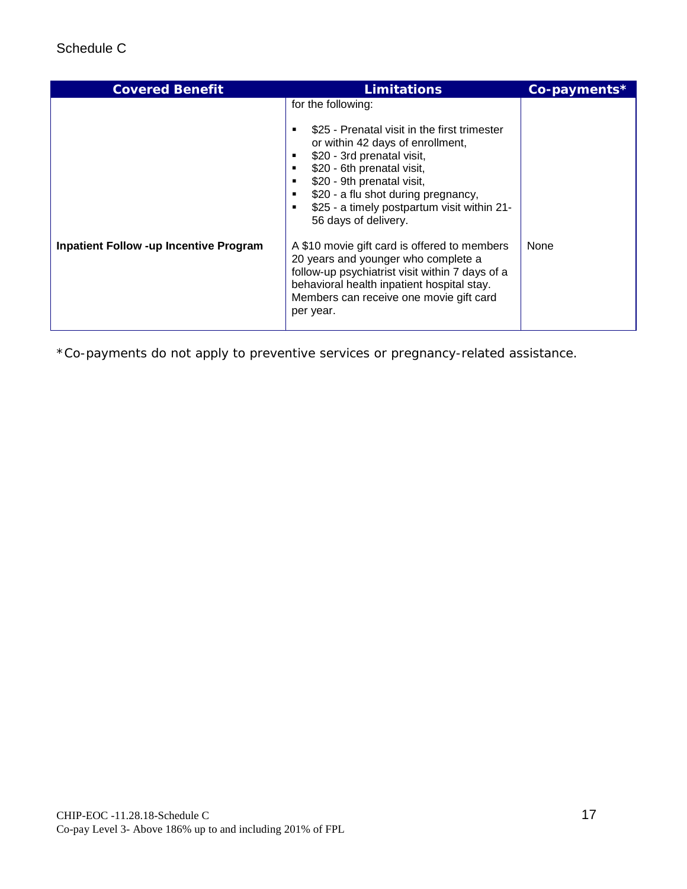| <b>Covered Benefit</b>                        | <b>Limitations</b>                                                                                                                                                                                                                                                                                                                                                                                                                                                                                                                                             | Co-payments* |
|-----------------------------------------------|----------------------------------------------------------------------------------------------------------------------------------------------------------------------------------------------------------------------------------------------------------------------------------------------------------------------------------------------------------------------------------------------------------------------------------------------------------------------------------------------------------------------------------------------------------------|--------------|
| <b>Inpatient Follow -up Incentive Program</b> | for the following:<br>\$25 - Prenatal visit in the first trimester<br>or within 42 days of enrollment,<br>\$20 - 3rd prenatal visit,<br>\$20 - 6th prenatal visit,<br>\$20 - 9th prenatal visit,<br>\$20 - a flu shot during pregnancy,<br>\$25 - a timely postpartum visit within 21-<br>56 days of delivery.<br>A \$10 movie gift card is offered to members<br>20 years and younger who complete a<br>follow-up psychiatrist visit within 7 days of a<br>behavioral health inpatient hospital stay.<br>Members can receive one movie gift card<br>per year. | None         |
|                                               |                                                                                                                                                                                                                                                                                                                                                                                                                                                                                                                                                                |              |

\*Co-payments do not apply to preventive services or pregnancy-related assistance.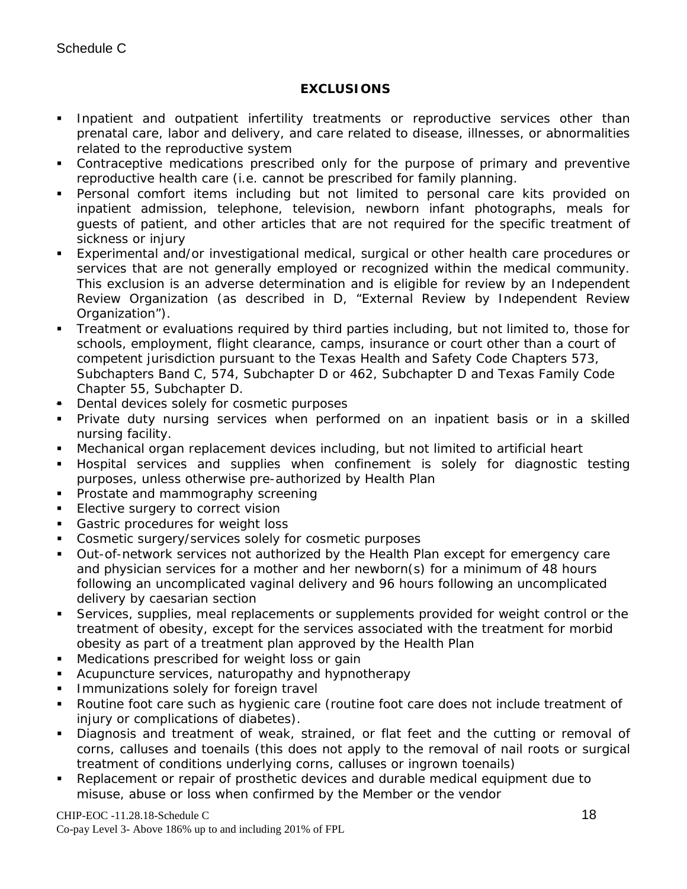### **EXCLUSIONS**

- **Inpatient and outpatient infertility treatments or reproductive services other than** prenatal care, labor and delivery, and care related to disease, illnesses, or abnormalities related to the reproductive system
- Contraceptive medications prescribed only for the purpose of primary and preventive reproductive health care (i.e. cannot be prescribed for family planning.
- Personal comfort items including but not limited to personal care kits provided on inpatient admission, telephone, television, newborn infant photographs, meals for guests of patient, and other articles that are not required for the specific treatment of sickness or injury
- Experimental and/or investigational medical, surgical or other health care procedures or services that are not generally employed or recognized within the medical community. This exclusion is an adverse determination and is eligible for review by an Independent Review Organization (as described in D, "External Review by Independent Review Organization").
- Treatment or evaluations required by third parties including, but not limited to, those for schools, employment, flight clearance, camps, insurance or court other than a court of competent jurisdiction pursuant to the Texas Health and Safety Code Chapters 573, Subchapters Band C, 574, Subchapter D or 462, Subchapter D and Texas Family Code Chapter 55, Subchapter D.
- **Dental devices solely for cosmetic purposes**
- Private duty nursing services when performed on an inpatient basis or in a skilled nursing facility.
- Mechanical organ replacement devices including, but not limited to artificial heart
- Hospital services and supplies when confinement is solely for diagnostic testing purposes, unless otherwise pre-authorized by Health Plan
- **Prostate and mammography screening**
- **Elective surgery to correct vision**
- **Gastric procedures for weight loss**
- Cosmetic surgery/services solely for cosmetic purposes
- Out-of-network services not authorized by the Health Plan except for emergency care and physician services for a mother and her newborn(s) for a minimum of 48 hours following an uncomplicated vaginal delivery and 96 hours following an uncomplicated delivery by caesarian section
- Services, supplies, meal replacements or supplements provided for weight control or the treatment of obesity, except for the services associated with the treatment for morbid obesity as part of a treatment plan approved by the Health Plan
- **Medications prescribed for weight loss or gain**
- Acupuncture services, naturopathy and hypnotherapy
- Immunizations solely for foreign travel
- Routine foot care such as hygienic care (routine foot care does not include treatment of injury or complications of diabetes).
- Diagnosis and treatment of weak, strained, or flat feet and the cutting or removal of corns, calluses and toenails (this does not apply to the removal of nail roots or surgical treatment of conditions underlying corns, calluses or ingrown toenails)
- Replacement or repair of prosthetic devices and durable medical equipment due to misuse, abuse or loss when confirmed by the Member or the vendor

#### $CHIP-EOC -11.28.18-Schedule C$  18

Co-pay Level 3- Above 186% up to and including 201% of FPL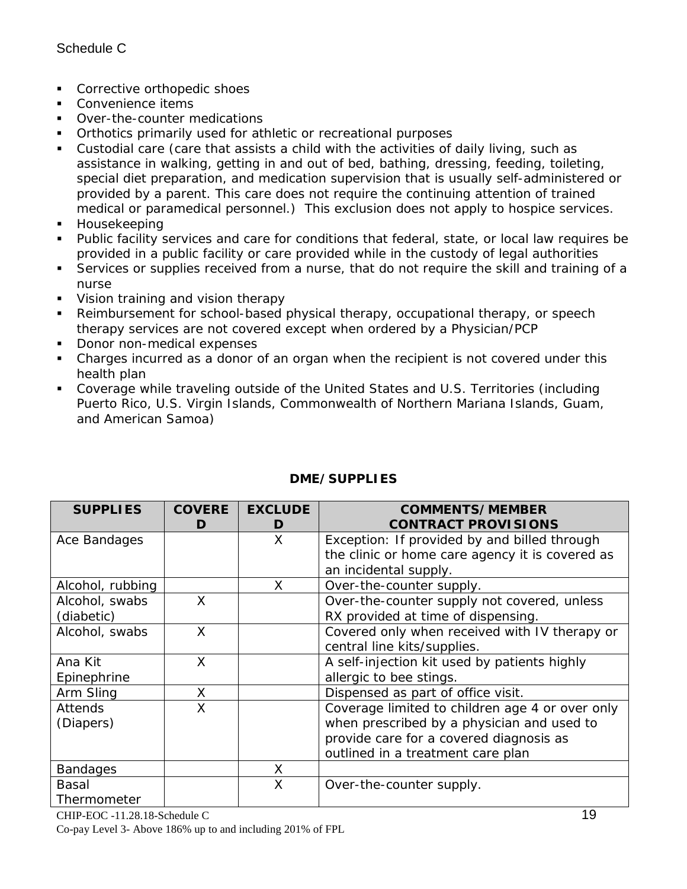- **Corrective orthopedic shoes**
- Convenience items
- Over-the-counter medications
- **•** Orthotics primarily used for athletic or recreational purposes
- Custodial care (care that assists a child with the activities of daily living, such as assistance in walking, getting in and out of bed, bathing, dressing, feeding, toileting, special diet preparation, and medication supervision that is usually self-administered or provided by a parent. This care does not require the continuing attention of trained medical or paramedical personnel.) This exclusion does not apply to hospice services.
- **Housekeeping**
- Public facility services and care for conditions that federal, state, or local law requires be provided in a public facility or care provided while in the custody of legal authorities
- Services or supplies received from a nurse, that do not require the skill and training of a nurse
- **Vision training and vision therapy**
- Reimbursement for school-based physical therapy, occupational therapy, or speech therapy services are not covered except when ordered by a Physician/PCP
- Donor non-medical expenses
- Charges incurred as a donor of an organ when the recipient is not covered under this health plan
- Coverage while traveling outside of the United States and U.S. Territories (including Puerto Rico, U.S. Virgin Islands, Commonwealth of Northern Mariana Islands, Guam, and American Samoa)

| <b>SUPPLIES</b>  | <b>COVERE</b><br>D | <b>EXCLUDE</b><br>D | <b>COMMENTS/MEMBER</b><br><b>CONTRACT PROVISIONS</b> |
|------------------|--------------------|---------------------|------------------------------------------------------|
| Ace Bandages     |                    | X                   | Exception: If provided by and billed through         |
|                  |                    |                     | the clinic or home care agency it is covered as      |
|                  |                    |                     | an incidental supply.                                |
| Alcohol, rubbing |                    | X                   | Over-the-counter supply.                             |
| Alcohol, swabs   | X                  |                     | Over-the-counter supply not covered, unless          |
| (diabetic)       |                    |                     | RX provided at time of dispensing.                   |
| Alcohol, swabs   | X                  |                     | Covered only when received with IV therapy or        |
|                  |                    |                     | central line kits/supplies.                          |
| Ana Kit          | X                  |                     | A self-injection kit used by patients highly         |
| Epinephrine      |                    |                     | allergic to bee stings.                              |
| Arm Sling        | X                  |                     | Dispensed as part of office visit.                   |
| <b>Attends</b>   | X                  |                     | Coverage limited to children age 4 or over only      |
| (Diapers)        |                    |                     | when prescribed by a physician and used to           |
|                  |                    |                     | provide care for a covered diagnosis as              |
|                  |                    |                     | outlined in a treatment care plan                    |
| <b>Bandages</b>  |                    | X                   |                                                      |
| Basal            |                    | X                   | Over-the-counter supply.                             |
| Thermometer      |                    |                     |                                                      |

## **DME/SUPPLIES**

 $CHIP-EOC -11.28.18-Schedule C$  19 Co-pay Level 3- Above 186% up to and including 201% of FPL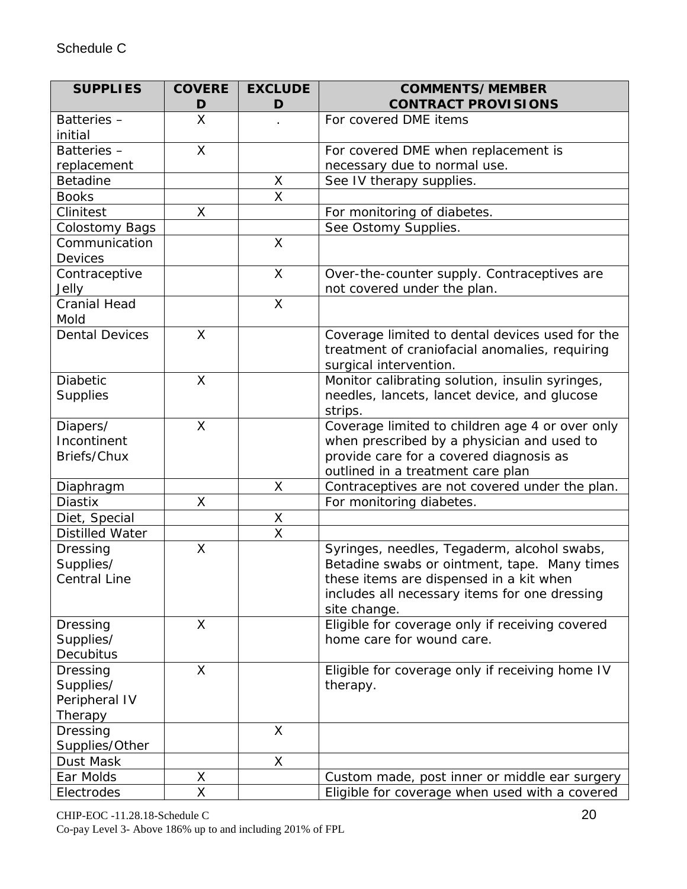| <b>SUPPLIES</b>                                   | <b>COVERE</b><br>D | <b>EXCLUDE</b><br>D     | <b>COMMENTS/MEMBER</b><br><b>CONTRACT PROVISIONS</b>                                                                                                                                                    |
|---------------------------------------------------|--------------------|-------------------------|---------------------------------------------------------------------------------------------------------------------------------------------------------------------------------------------------------|
| Batteries-<br>initial                             | X                  |                         | For covered DME items                                                                                                                                                                                   |
| Batteries-                                        | X                  |                         | For covered DME when replacement is                                                                                                                                                                     |
| replacement                                       |                    |                         | necessary due to normal use.                                                                                                                                                                            |
| <b>Betadine</b>                                   |                    | X                       | See IV therapy supplies.                                                                                                                                                                                |
| <b>Books</b>                                      |                    | $\overline{\mathsf{x}}$ |                                                                                                                                                                                                         |
| Clinitest                                         | X                  |                         | For monitoring of diabetes.                                                                                                                                                                             |
| <b>Colostomy Bags</b>                             |                    |                         | See Ostomy Supplies.                                                                                                                                                                                    |
| Communication<br><b>Devices</b>                   |                    | $\mathsf{X}% _{0}$      |                                                                                                                                                                                                         |
| Contraceptive<br>Jelly                            |                    | X                       | Over-the-counter supply. Contraceptives are<br>not covered under the plan.                                                                                                                              |
| <b>Cranial Head</b><br>Mold                       |                    | $\mathsf{X}$            |                                                                                                                                                                                                         |
| <b>Dental Devices</b>                             | X                  |                         | Coverage limited to dental devices used for the<br>treatment of craniofacial anomalies, requiring<br>surgical intervention.                                                                             |
| <b>Diabetic</b><br><b>Supplies</b>                | X                  |                         | Monitor calibrating solution, insulin syringes,<br>needles, lancets, lancet device, and glucose<br>strips.                                                                                              |
| Diapers/<br>Incontinent<br>Briefs/Chux            | X                  |                         | Coverage limited to children age 4 or over only<br>when prescribed by a physician and used to<br>provide care for a covered diagnosis as<br>outlined in a treatment care plan                           |
| Diaphragm                                         |                    | X                       | Contraceptives are not covered under the plan.                                                                                                                                                          |
| <b>Diastix</b>                                    | Χ                  |                         | For monitoring diabetes.                                                                                                                                                                                |
| Diet, Special                                     |                    | X                       |                                                                                                                                                                                                         |
| <b>Distilled Water</b>                            |                    | $\overline{\mathsf{x}}$ |                                                                                                                                                                                                         |
| Dressing<br>Supplies/<br><b>Central Line</b>      | X                  |                         | Syringes, needles, Tegaderm, alcohol swabs,<br>Betadine swabs or ointment, tape. Many times<br>these items are dispensed in a kit when<br>includes all necessary items for one dressing<br>site change. |
| Dressing<br>Supplies/<br>Decubitus                | X                  |                         | Eligible for coverage only if receiving covered<br>home care for wound care.                                                                                                                            |
| Dressing<br>Supplies/<br>Peripheral IV<br>Therapy | $\times$           |                         | Eligible for coverage only if receiving home IV<br>therapy.                                                                                                                                             |
| Dressing<br>Supplies/Other                        |                    | $\sf X$                 |                                                                                                                                                                                                         |
| Dust Mask                                         |                    | X                       |                                                                                                                                                                                                         |
| Ear Molds                                         | Χ                  |                         | Custom made, post inner or middle ear surgery                                                                                                                                                           |
| Electrodes                                        | X                  |                         | Eligible for coverage when used with a covered                                                                                                                                                          |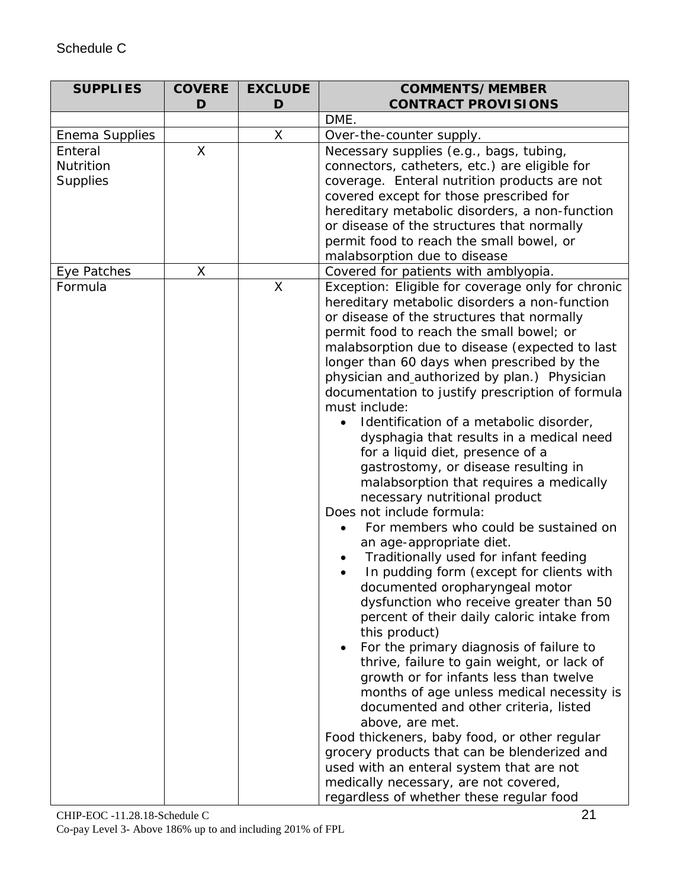# Schedule C

| <b>SUPPLIES</b> | <b>COVERE</b> | <b>EXCLUDE</b> | <b>COMMENTS/MEMBER</b>                                                    |
|-----------------|---------------|----------------|---------------------------------------------------------------------------|
|                 | D             | D              | <b>CONTRACT PROVISIONS</b>                                                |
|                 |               |                | DME.                                                                      |
| Enema Supplies  |               | X              | Over-the-counter supply.                                                  |
| Enteral         | X             |                | Necessary supplies (e.g., bags, tubing,                                   |
| Nutrition       |               |                | connectors, catheters, etc.) are eligible for                             |
| <b>Supplies</b> |               |                | coverage. Enteral nutrition products are not                              |
|                 |               |                | covered except for those prescribed for                                   |
|                 |               |                | hereditary metabolic disorders, a non-function                            |
|                 |               |                | or disease of the structures that normally                                |
|                 |               |                | permit food to reach the small bowel, or                                  |
|                 |               |                | malabsorption due to disease                                              |
| Eye Patches     | X             |                | Covered for patients with amblyopia.                                      |
| Formula         |               | X              | Exception: Eligible for coverage only for chronic                         |
|                 |               |                | hereditary metabolic disorders a non-function                             |
|                 |               |                | or disease of the structures that normally                                |
|                 |               |                | permit food to reach the small bowel; or                                  |
|                 |               |                | malabsorption due to disease (expected to last                            |
|                 |               |                | longer than 60 days when prescribed by the                                |
|                 |               |                | physician and_authorized by plan.) Physician                              |
|                 |               |                | documentation to justify prescription of formula                          |
|                 |               |                | must include:                                                             |
|                 |               |                | Identification of a metabolic disorder,                                   |
|                 |               |                | dysphagia that results in a medical need                                  |
|                 |               |                | for a liquid diet, presence of a                                          |
|                 |               |                | gastrostomy, or disease resulting in                                      |
|                 |               |                | malabsorption that requires a medically                                   |
|                 |               |                | necessary nutritional product<br>Does not include formula:                |
|                 |               |                | For members who could be sustained on                                     |
|                 |               |                | $\bullet$                                                                 |
|                 |               |                | an age-appropriate diet.                                                  |
|                 |               |                | Traditionally used for infant feeding                                     |
|                 |               |                | In pudding form (except for clients with                                  |
|                 |               |                | documented oropharyngeal motor<br>dysfunction who receive greater than 50 |
|                 |               |                | percent of their daily caloric intake from                                |
|                 |               |                | this product)                                                             |
|                 |               |                | For the primary diagnosis of failure to                                   |
|                 |               |                | thrive, failure to gain weight, or lack of                                |
|                 |               |                | growth or for infants less than twelve                                    |
|                 |               |                | months of age unless medical necessity is                                 |
|                 |               |                | documented and other criteria, listed                                     |
|                 |               |                | above, are met.                                                           |
|                 |               |                | Food thickeners, baby food, or other regular                              |
|                 |               |                | grocery products that can be blenderized and                              |
|                 |               |                | used with an enteral system that are not                                  |
|                 |               |                | medically necessary, are not covered,                                     |
|                 |               |                | regardless of whether these regular food                                  |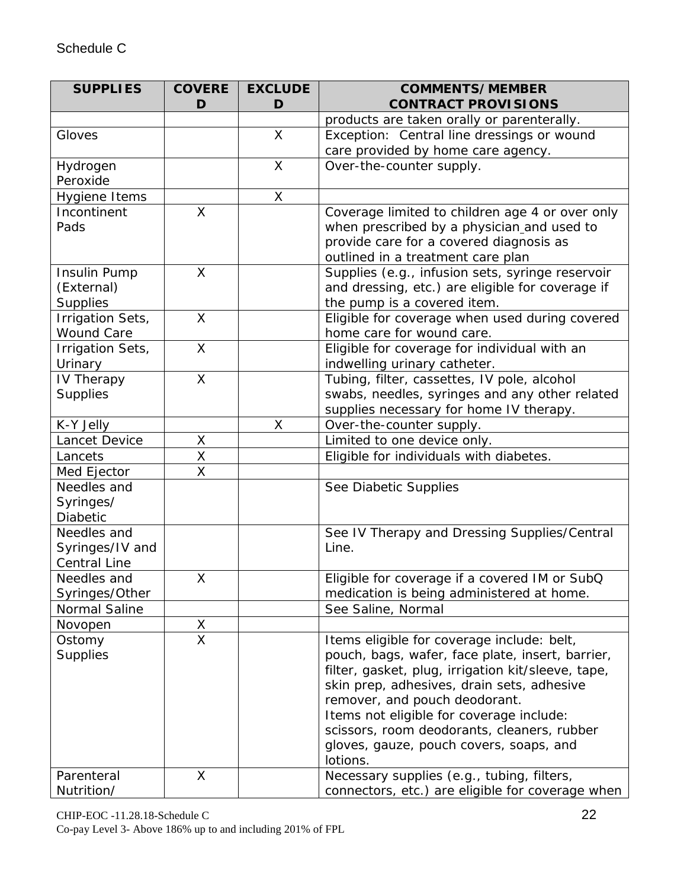| <b>SUPPLIES</b>              | <b>COVERE</b>           | <b>EXCLUDE</b> | <b>COMMENTS/MEMBER</b>                                                        |
|------------------------------|-------------------------|----------------|-------------------------------------------------------------------------------|
|                              | D                       | D              | <b>CONTRACT PROVISIONS</b>                                                    |
|                              |                         |                | products are taken orally or parenterally.                                    |
| Gloves                       |                         | X              | Exception: Central line dressings or wound                                    |
|                              |                         |                | care provided by home care agency.                                            |
| Hydrogen                     |                         | $\sf X$        | Over-the-counter supply.                                                      |
| Peroxide                     |                         |                |                                                                               |
| Hygiene Items                |                         | X              |                                                                               |
| Incontinent                  | $\mathsf{X}$            |                | Coverage limited to children age 4 or over only                               |
| Pads                         |                         |                | when prescribed by a physician and used to                                    |
|                              |                         |                | provide care for a covered diagnosis as                                       |
|                              |                         |                | outlined in a treatment care plan                                             |
| Insulin Pump                 | X                       |                | Supplies (e.g., infusion sets, syringe reservoir                              |
| (External)                   |                         |                | and dressing, etc.) are eligible for coverage if                              |
| Supplies<br>Irrigation Sets, | $\mathsf{X}$            |                | the pump is a covered item.<br>Eligible for coverage when used during covered |
| <b>Wound Care</b>            |                         |                | home care for wound care.                                                     |
| Irrigation Sets,             | $\overline{\mathsf{X}}$ |                | Eligible for coverage for individual with an                                  |
| Urinary                      |                         |                | indwelling urinary catheter.                                                  |
| IV Therapy                   | X                       |                | Tubing, filter, cassettes, IV pole, alcohol                                   |
| <b>Supplies</b>              |                         |                | swabs, needles, syringes and any other related                                |
|                              |                         |                | supplies necessary for home IV therapy.                                       |
| K-Y Jelly                    |                         | X              | Over-the-counter supply.                                                      |
| Lancet Device                | Χ                       |                | Limited to one device only.                                                   |
| Lancets                      | X                       |                | Eligible for individuals with diabetes.                                       |
| Med Ejector                  | X                       |                |                                                                               |
| Needles and                  |                         |                | See Diabetic Supplies                                                         |
| Syringes/                    |                         |                |                                                                               |
| Diabetic                     |                         |                |                                                                               |
| Needles and                  |                         |                | See IV Therapy and Dressing Supplies/Central                                  |
| Syringes/IV and              |                         |                | Line.                                                                         |
| <b>Central Line</b>          |                         |                |                                                                               |
| Needles and                  | Χ                       |                | Eligible for coverage if a covered IM or SubQ                                 |
| Syringes/Other               |                         |                | medication is being administered at home.                                     |
| Normal Saline                |                         |                | See Saline, Normal                                                            |
| Novopen                      | X                       |                |                                                                               |
| Ostomy                       | $\overline{\mathsf{X}}$ |                | Items eligible for coverage include: belt,                                    |
| <b>Supplies</b>              |                         |                | pouch, bags, wafer, face plate, insert, barrier,                              |
|                              |                         |                | filter, gasket, plug, irrigation kit/sleeve, tape,                            |
|                              |                         |                | skin prep, adhesives, drain sets, adhesive                                    |
|                              |                         |                | remover, and pouch deodorant.<br>Items not eligible for coverage include:     |
|                              |                         |                | scissors, room deodorants, cleaners, rubber                                   |
|                              |                         |                | gloves, gauze, pouch covers, soaps, and                                       |
|                              |                         |                | lotions.                                                                      |
| Parenteral                   | X                       |                | Necessary supplies (e.g., tubing, filters,                                    |
| Nutrition/                   |                         |                | connectors, etc.) are eligible for coverage when                              |